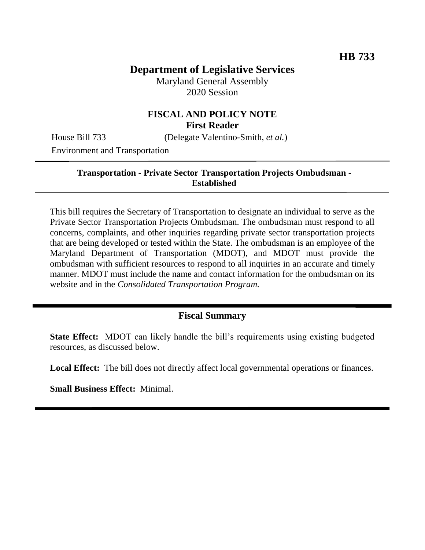# **Department of Legislative Services**

Maryland General Assembly 2020 Session

## **FISCAL AND POLICY NOTE First Reader**

House Bill 733 (Delegate Valentino-Smith, *et al.*)

Environment and Transportation

#### **Transportation - Private Sector Transportation Projects Ombudsman - Established**

This bill requires the Secretary of Transportation to designate an individual to serve as the Private Sector Transportation Projects Ombudsman. The ombudsman must respond to all concerns, complaints, and other inquiries regarding private sector transportation projects that are being developed or tested within the State. The ombudsman is an employee of the Maryland Department of Transportation (MDOT), and MDOT must provide the ombudsman with sufficient resources to respond to all inquiries in an accurate and timely manner. MDOT must include the name and contact information for the ombudsman on its website and in the *Consolidated Transportation Program.*

## **Fiscal Summary**

**State Effect:** MDOT can likely handle the bill's requirements using existing budgeted resources, as discussed below.

Local Effect: The bill does not directly affect local governmental operations or finances.

**Small Business Effect:** Minimal.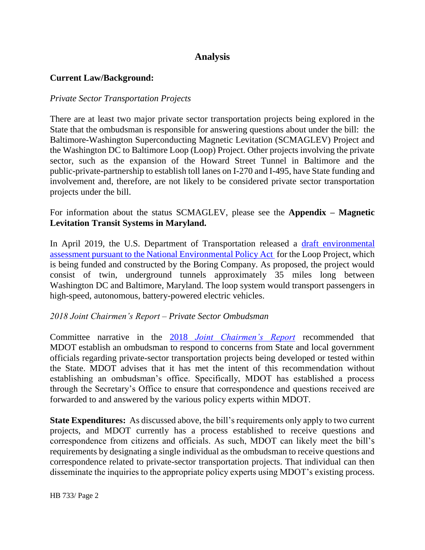# **Analysis**

### **Current Law/Background:**

#### *Private Sector Transportation Projects*

There are at least two major private sector transportation projects being explored in the State that the ombudsman is responsible for answering questions about under the bill: the Baltimore-Washington Superconducting Magnetic Levitation (SCMAGLEV) Project and the Washington DC to Baltimore Loop (Loop) Project. Other projects involving the private sector, such as the expansion of the Howard Street Tunnel in Baltimore and the public-private-partnership to establish toll lanes on I-270 and I-495, have State funding and involvement and, therefore, are not likely to be considered private sector transportation projects under the bill.

For information about the status SCMAGLEV, please see the **Appendix – Magnetic Levitation Transit Systems in Maryland.**

In April 2019, the U.S. Department of Transportation released a draft environmental [assessment pursuant to the National Environmental Policy Act](https://www.dcbaltimoreloop.com/) for the Loop Project, which is being funded and constructed by the Boring Company. As proposed, the project would consist of twin, underground tunnels approximately 35 miles long between Washington DC and Baltimore, Maryland. The loop system would transport passengers in high-speed, autonomous, battery-powered electric vehicles.

#### *2018 Joint Chairmen's Report – Private Sector Ombudsman*

Committee narrative in the 2018 *Joint Chairmen's Report* recommended that MDOT establish an ombudsman to respond to concerns from State and local government officials regarding private-sector transportation projects being developed or tested within the State. MDOT advises that it has met the intent of this recommendation without establishing an ombudsman's office. Specifically, MDOT has established a process through the Secretary's Office to ensure that correspondence and questions received are forwarded to and answered by the various policy experts within MDOT.

**State Expenditures:** As discussed above, the bill's requirements only apply to two current projects, and MDOT currently has a process established to receive questions and correspondence from citizens and officials. As such, MDOT can likely meet the bill's requirements by designating a single individual as the ombudsman to receive questions and correspondence related to private-sector transportation projects. That individual can then disseminate the inquiries to the appropriate policy experts using MDOT's existing process.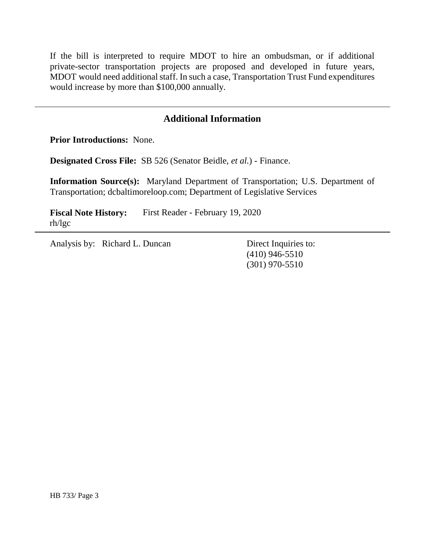If the bill is interpreted to require MDOT to hire an ombudsman, or if additional private-sector transportation projects are proposed and developed in future years, MDOT would need additional staff. In such a case, Transportation Trust Fund expenditures would increase by more than \$100,000 annually.

## **Additional Information**

**Prior Introductions:** None.

**Designated Cross File:** SB 526 (Senator Beidle, *et al.*) - Finance.

**Information Source(s):** Maryland Department of Transportation; U.S. Department of Transportation; dcbaltimoreloop.com; Department of Legislative Services

**Fiscal Note History:** First Reader - February 19, 2020 rh/lgc

Analysis by: Richard L. Duncan Direct Inquiries to:

(410) 946-5510 (301) 970-5510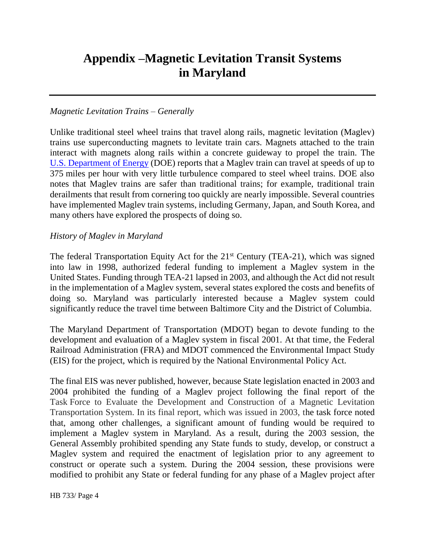# **Appendix –Magnetic Levitation Transit Systems in Maryland**

#### *Magnetic Levitation Trains – Generally*

Unlike traditional steel wheel trains that travel along rails, magnetic levitation (Maglev) trains use superconducting magnets to levitate train cars. Magnets attached to the train interact with magnets along rails within a concrete guideway to propel the train. The U.S. [Department of Energy](https://www.energy.gov/articles/how-maglev-works) (DOE) reports that a Maglev train can travel at speeds of up to 375 miles per hour with very little turbulence compared to steel wheel trains. DOE also notes that Maglev trains are safer than traditional trains; for example, traditional train derailments that result from cornering too quickly are nearly impossible. Several countries have implemented Maglev train systems, including Germany, Japan, and South Korea, and many others have explored the prospects of doing so.

#### *History of Maglev in Maryland*

The federal Transportation Equity Act for the  $21<sup>st</sup>$  Century (TEA-21), which was signed into law in 1998, authorized federal funding to implement a Maglev system in the United States. Funding through TEA-21 lapsed in 2003, and although the Act did not result in the implementation of a Maglev system, several states explored the costs and benefits of doing so. Maryland was particularly interested because a Maglev system could significantly reduce the travel time between Baltimore City and the District of Columbia.

The Maryland Department of Transportation (MDOT) began to devote funding to the development and evaluation of a Maglev system in fiscal 2001. At that time, the Federal Railroad Administration (FRA) and MDOT commenced the Environmental Impact Study (EIS) for the project, which is required by the National Environmental Policy Act.

The final EIS was never published, however, because State legislation enacted in 2003 and 2004 prohibited the funding of a Maglev project following the final report of the Task Force to Evaluate the Development and Construction of a Magnetic Levitation Transportation System. In its final report, which was issued in 2003, the task force noted that, among other challenges, a significant amount of funding would be required to implement a Maglev system in Maryland. As a result, during the 2003 session, the General Assembly prohibited spending any State funds to study, develop, or construct a Maglev system and required the enactment of legislation prior to any agreement to construct or operate such a system. During the 2004 session, these provisions were modified to prohibit any State or federal funding for any phase of a Maglev project after